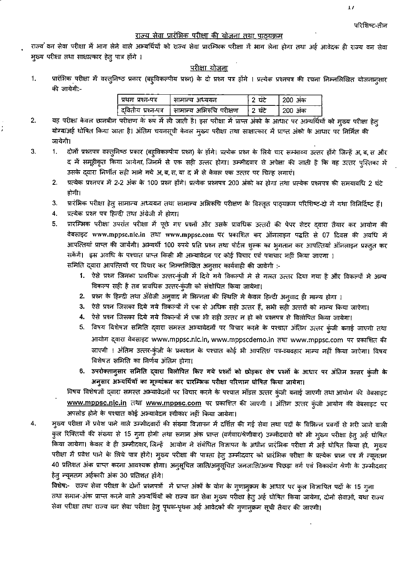$\overline{1}$ 

### राज्य सेवा प्रारंभिक परीक्षा की योजना तथा पाठ्यक्रम

राज्य वन सेवा परीक्षा में भाग लेने वाले अभ्यर्थियों को राज्य सेवा प्रारम्भिक परीक्षा में भाग लेना होगा तथा अर्ह आवेदक ही राज्य वन सेवा मुख्य परीक्षा तथा साक्षात्कार हेतु पात्र होंगे ।

#### <u>परीक्षा योजना</u>

प्रारंभिक परीक्षा में वस्तुनिष्ठ प्रकार (बहुविकल्पीय प्रश्न) के दो प्रश्न पत्र होंगे । प्रत्येक प्रश्नपत्र की रचना निम्नलिखित योजनानुसार 1. की जायेगी:-

| प्रथम प्रश्न-पत्र | सामान्य अध्ययन                               |        | 200 अंक |
|-------------------|----------------------------------------------|--------|---------|
|                   | दवितीय प्रश्न-पत्र   सामान्य अभिरुचि परीक्षण | ਼? ਬਣੇ | 200 अंक |

- यह परीक्षा केवल छानबीन परीक्षण के रूप में ली जाती है। इस परीक्षा में प्राप्त अंको के आधार पर अभ्यर्थियों को मुख्य परीक्षा हेतु  $2.$ योग्य/अर्ह घोषित किया जाता है। अंतिम चयनसूची केवल मुख्य परीक्षा तथा साक्षात्कार में प्राप्त अंको के आधार पर निर्मित की जायेगी।
- 3. दोनों प्रश्नपत्र वस्तुनिष्ठ प्रकार (बहूविकल्पीय प्रश्न) के होंगे। प्रत्येक प्रश्न के लिये चार सम्भाव्य उत्तर होंगे जिन्हें अ, ब, स और 1. द में समूहीकृत किया जायेगा, जिनमें से एक सही उत्तर होगा। उम्मीदवार से अपेक्षा की जाती है कि वह उत्तर पुस्तिका में उसके द्वारा निर्णीत सही माने गये अ,ब,स,या द में से केवल एक उत्तर पर चिन्ह लगाएं।
	- प्रत्येक प्रश्नपत्र में 2-2 अंक के 100 प्रश्न होंगे। प्रत्येक प्रश्नपत्र 200 अंको का होगा तथा प्रत्येक प्रश्नपत्र की समयावधि 2 घंटे 2. होगी।
	- प्रारंभिक परीक्षा हेतु सामान्य अध्ययन तथा सामान्य अभिरूचि परीक्षण के विस्तृत पाठ्यक्रम परिशिष्ट-दो में यथा विनिर्दिष्ट हैं। 3.
	- 4. प्रत्येक प्रश्न पत्र हिन्दी तथा अंग्रेजी में होगा।
	- प्रारम्भिक परीक्षा उपरांत परीक्षा में पूछे गए प्रश्नों और उसके प्रावधिक उत्तरों की पेपर सेटर द्वारा तैयार कर आयोग की 5. वेबसाइट www.mppsc.nic.in तथा www.mppsc.com पर प्रकाशित कर ऑनलाइन पद्धति से 07 दिवस की अवधि में आपत्तियां प्राप्त की जायेंगी। अभ्यर्थी 100 रुपये प्रति प्रश्न तथा पोर्टल शुल्क का भुगतान कर आपत्तियां ऑनलाइन प्रस्तुत कर सकेंगें। इस अवधि के पश्चात प्राप्त किसी भी अभ्यावेदन पर कोई विचार एवं पत्राचार नहीं किया जाएगा ।

समिति द्वारा आपत्तियों पर विचार कर निम्नलिखित अनुसार कार्यवाही की जावेगी :-

- 1. ऐसे प्रश्न जिनका प्रावधिक उत्तर-कुंजी में दिये गये विकल्पों मे से गलत उत्तर दिया गया है और विकल्पों मे अन्य विकल्प सही है तब प्रावधिक उत्तर-कुंजी को संशोधित किया जायेगा।
- 2. प्रश्न के हिन्दी तथा अँग्रेजी अनुवाद मे भिन्नता की स्थिति मे केवल हिन्दी अनुवाद ही मान्य होगा ।
- 3. ऐसे प्रश्न जिसका दिये गये विकल्पों में एक से अधिक सही उत्तर हैं, सभी सही उत्तरों को मान्य किया जाऐगा।
- 4. ऐसे प्रश्न जिसका दिये गये विकल्पों में एक भी सही उत्तर न हो को प्रश्नपत्र से विलोपित किया जायेगा।
- 5. विषय विशेषज्ञ समिति द्वारा समस्त अभ्यावेदनों पर विचार करने के पश्चात अंतिम उत्तर कुंजी बनाई जाएगी तथा आयोग द्वारा वेबसाइट www.mppsc.nic.in, www.mppscdemo.in तथा www.mppsc.com पर प्रकाशित की जाएगी । अंतिम उत्तर-कुंजी के प्रकाशन के पश्चात कोई भी आपत्ति/ पत्र-व्यवहार मान्य नहीं किया जाऐगा। विषय विशेषज्ञ समिति का निर्णय अंतिम होगा।
- 6. उपरोक्तानुसार समिति द्वारा विलोपित किए गये प्रश्नों को छोड़कर शेष प्रश्नों के आधार पर अंतिम उत्तर कुंजी के अनुसार अभ्यर्थियों का मूल्यांकन कर प्रारम्भिक परीक्षा परिणाम घोषित किया जायेगा।

विषय विशेषज्ञों द्वारा समस्त अभ्यावेदनों पर विचार करने के पश्चात मॉडल उत्तर कुंजी बनाई जाएगी तथा आयोग की वेबसाइट www.mppsc.nic.in तथा www.mppsc.com पर प्रकाशित की जाएगी । अंतिम उत्तर कुंजी आयोग की वेबसाइट पर अपलोड होने के पश्चात कोई अभ्यावेदन स्वीकार नहीं किया जायेगा।

म्ख्य परीक्षा में प्रवेश पाने वाले उम्मीदवारों की संख्या विज्ञापन में दर्शित की गई सेवा तथा पदों के विभिन्न प्रवर्गो से भरी जाने वाली 4. कुल रिक्तियों की संख्या से 15 गुना होगी तथा समान अंक प्राप्त (वर्गवार/श्रेणीवार) उम्मीदवारो को भी मुख्य परीक्षा हेत् अर्ह घोषित किया जायेगा। केवल वे ही उम्मीदवार, जिन्हें आयोग ने संबंधित विज्ञापन के अधीन प्रारंभिक परीक्षा में अर्ह घोषित किया हो, मुख्य परीक्षा में प्रवेश पाने के लिये पात्र होंगे। मुख्य परीक्षा की पात्रता हेतु उम्मीदवार को प्रारंभिक परीक्षा के प्रत्येक प्रश्न पत्र में न्यूनतम 40 प्रतिशत अंक प्राप्त करना आवश्यक होगा। अनुसूचित जाति/अनुसूचित जनजाति/अन्य पिछड़ा वर्ग एवं विकलांग श्रेणी के उम्मीदवार हेतु न्यूनतम अर्हकारी अंक 30 प्रतिशत होंगे।

विशेष:- राज्य सेवा परीक्षा के दोनों प्रश्नपत्रों में प्राप्त अंकों के योग के गुणानुक्रम के आधार पर कुल विज्ञापित पदों के 15 गुना तथा समान अंक प्राप्त करने वाले अभ्यर्थियों को राज्य वन सेवा मुख्य परीक्षा हेतु अर्ह घोषित किया जायेगा, दोनों सेवाओं, यथा राज्य सेवा परीक्षा तथा राज्य वन सेवा परीक्षा हेतु पृथक-पृथक अर्ह आवेदकों की गुणानुक्रम सूची तैयार की जाएगी।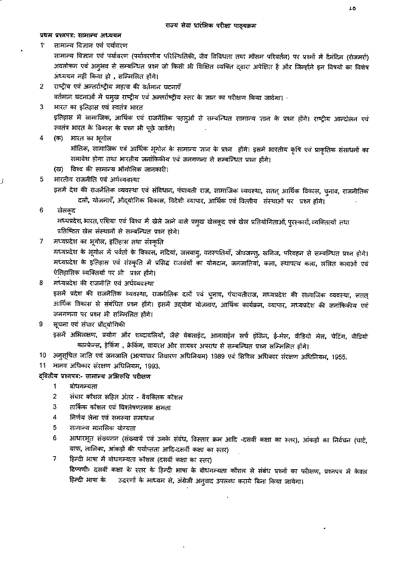#### प्रथम प्रश्नपत्र: सामान्य अध्ययन

#### 11 सामान्य विज्ञान एवं पर्यावरण

सामान्य विज्ञान एवं पर्यावरण (पर्यावरणीय परिस्थितिकी, जैव विविधता तथा मौसम परिवर्तन) पर प्रश्नों में दैनंदिन (रोजमर्रा) अवलोकन एवं अनुभव से सम्बन्धित प्रश्न जो किसी भी शिक्षित व्यक्ति दवारा अपेक्षित है और जिन्होंने इन विषयों का विशेष अध्ययन नहीं किया हो , सम्मिलित होंगे।

राष्ट्रीय एवं अन्तर्राष्ट्रीय महत्व की वर्तमान घटनाएँ  $\overline{2}$ 

वर्तमान घटनाओं में प्रमुख राष्ट्रीय एवं अन्तर्राष्ट्रीय स्तर के ज्ञान का परीक्षण किया जावेगा।

भारत का इतिहास एवं स्वतंत्र भारत 3

> इतिहास में सामाजिक, आर्थिक एवं राजनैतिक पहलुओं से सम्बन्धित सामान्य ज्ञान के प्रश्न होंगे। राष्ट्रीय आन्दोलन एवं स्वतंत्र भारत के विकास के प्रश्न भी पूछे जावेंगे।

 $\overline{4}$ (क) भारत का भूगोल

> भौतिक, सामाजिक एवं आर्थिक भूगोल के सामान्य ज्ञान के प्रश्न होंगे। इसमें भारतीय कृषि एवं प्राकृतिक संसाधनों का समावेश होगा तथा भारतीय जनांकिकीय एवं जनगणना से सम्बन्धित प्रश्न होंगे।

(ख) विश्व की सामान्य भौगोलिक जानकारी।

#### भारतीय राजनीति एवं अर्थव्यवस्था 5

इसमें देश की राजनैतिक व्यवस्था एवं संविधान, पंचायती राज, सामाजिक व्यवस्था, सतत् आर्थिक विकास, चुनाव, राजनीतिक दलों, योजनाएँ, औद्योगिक विकास, विदेशी व्यापार, आर्थिक एवं वित्तीय संस्थाओं पर प्रश्न होंगे।

6 खेलकुद

> मध्यप्रदेश, भारत, एशिया एवं विश्व में खेले जाने वाले प्रमुख खेलकूद एवं खेल प्रतियोगिताओं, पुरस्कारों, व्यक्तित्वों तथा प्रतिष्ठित खेल संस्थानों से सम्बन्धित प्रश्न होगे।

 $\overline{7}$ मध्यप्रदेश का भूगोल, इतिहास तथा संस्कृति

मध्यप्रदेश के भूगोल में पर्वतों के विकास, नदियां, जलवायु, वनस्पतियाँ, जीवजन्तु, खनिज, परिवहन से सम्बन्धित प्रश्न होगे। मध्यप्रदेश के इतिहास एवं संस्कृति में प्रसिद्ध राजवंशों का योगदान, जनजातियां, कला, स्थापत्य कला, ललित कलाओं एव ऐतिहासिक व्यक्तियों पर भी प्रश्न होंगे।

8 मध्यप्रदेश की राजनीति एवं अर्थव्यवस्था

> इसमें प्रदेश की राजनैतिक व्यवस्था, राजनीतिक दलों एवं चुनाव, पंचायतीराज, मध्यप्रदेश की सामाजिक व्यवस्था, सतत् आर्थिक विकास से संबंधित प्रश्न होंगे। इसमें उद्योग योजनाए, आर्थिक कार्यक्रम, व्यापार, मध्यप्रदेश की जनांकिकीय एवं जनगणना पर प्रश्न भी सम्मिलित होंगे।

9 सूचना एवं संचार प्रौद्योगिकी

> इसमें अभिलक्षण, प्रयोग और शब्दावलियों, जैसे वेबसाईट, आनलाईन सर्च इंजिन, ई-मेल, वीडियो मेल, चेटिंग, वीडियो कान्फ्रेन्स, हेकिंग , क्रेकिंग, वायरस और सायबर अपराध से सम्बन्धित प्रश्न सम्मिलित होंगे।

- 10 अनुसूचित जाति एवं जनजाति (अत्याचार निवारण अधिनियम) 1989 एवं सिवित अधिकार संरक्षण अधिनियम, 1955.
- 11 मानव अधिकार संरक्षण अधिनियम, 1993.

### दवितीय प्रश्नपत्र:- सामान्य अभिरूचि परीक्षण

- $\mathbf{1}$ बोधगम्यता
- $\overline{2}$ संचार कौशल सहित अंतर - वैयक्तिक कौशल
- 3 तार्किक कौशल एवं विश्लेषणत्मक क्षमता
- $\overline{\mathbf{4}}$ निर्णय लेना एवं समस्या समाधान
- 5 सामान्य मानसिक योग्यता
- आधारभूत संख्यनन (संख्यायें एवं उनके संबंध, विस्तार क्रम आदि -दसवीं कक्षा का स्तर), आंकड़ों का निर्वचन (चार्ट, 6 ग्राफ, तालिका, आंकड़ों की पर्याप्तता आदि-दसवीं कक्षा का स्तर)
- $\overline{7}$ हिन्दी भाषा में बोधगम्यता कौशल (दसवीं कक्षा का स्तर) टिप्पणीः दसवीं कक्षा के स्तर के हिन्दी भाषा के बोधगम्यता कौशल से संबंध प्रश्नों का परीक्षण, प्रश्नपत्र में केवल हिन्दी भाषा के उद्धरणों के माध्यम से, अंग्रेजी अनुवाद उपलब्ध कराये बिना किया जायेगा।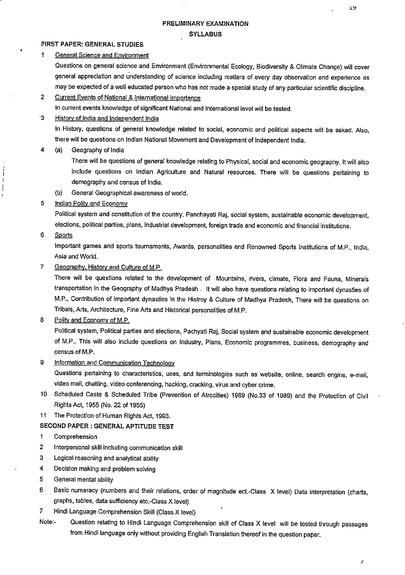Î.

### PRELIMINARY EXAMINATION SYLLABUS

#### FIRST PAPER: GENERAL STUDIES

1 General Science and Environment

Questions on general science and Environment (Environmental Ecology, Biodiversity & Climate Change) will cover general appreciation and understanding of science including matters of every day observation and experience as may be expected of a well educated person who has not made a special study of any particular scientific discipline.

2 Current Events of National & International Importance

In current events knowledge of significant National and International level will be tested.

### '3 History of India and Independent India

In History, questions of general knowledge related to social, economic and political aspects will be asked. Also, there will be questions on Indian National Movement and Development of Independent India.

#### 4 (a) Geography of India

There will be questions of general knowledge relating to Physical, social and economic geography. It will also include questions on indian Agriculture and Natural resources. There will be questions pertaining to demography and census of India.

- (b) General Geographical awareness of world.
- 5 Indian Polity and Economy

Political system and constitution of the country, Panchayati Raj. social system, sustainable economic development, elections, political parties, plans, industrial development, foreign trade and economic and financial institutions.

6 Sports

Í J  $\mathbf{I}$ 

> Important games and sports tournaments. Awards, personalities and Renowned Sports Institutions of M.P., India. Asia and World.

7 Geography. History and Culture of M.P.

There will be questions related to the development of Mountains, rivers, climate. Flora and Fauna, Minerals transportation in the Geography of Madhya Pradesh . It will also have questions relating to important dynasties of M.P., Contribution of important dynasties in the Histroy & Culture of Madhya Pradesh. There will be questions on Tribals, Arts, Architecture, Fine Arts and Historical personalities of M.P.

8 Polity and Economy of M.P.

Political system. Political parties and elections, Pachyati Raj, Social system and sustainable economic development of M.P.. This will also include questions on Industry, Plans, Economic programmes, business, demography and census of M.P.

### 9 Information and Communication Technology

Questions pertaining to characteristics, uses, and terminologies such as website, online, search engine, e-mail, video mail, chatting, video conferencing, hacking, cracking, virus and cyber crime.

- 10 Scheduled Caste & Scheduled Tribe (Prevention of Atrocities) 1989 (No.33 of 1989) and the Protection of Civil Rights Act, 1955 (No. 22 of 1955)
- 11 The Protection of Human Rights Act, 1993.

#### SECOND PAPER : GENERAL APTITUDE TEST

- 1 Comprehension
- 2 Interpersonal skill including communication skill
- 3 Logical reasoning and analytical ability
- 4 Decision making and problem solving
- 5 General mental ability
- 6 Basic numeracy (numbers and their relations, order of magnitude ect.-Class X level) Data interpretation (charts, graphs, tables, data sufficiency etc.-Class X level)
- 7 Hindi Language Comprehension Skill (Class X level)
- Note:- Question relating to Hindi Language Comprehension skill of Class X level will be tested through passages from Hindi language only without providing English Translation thereof in the question paper.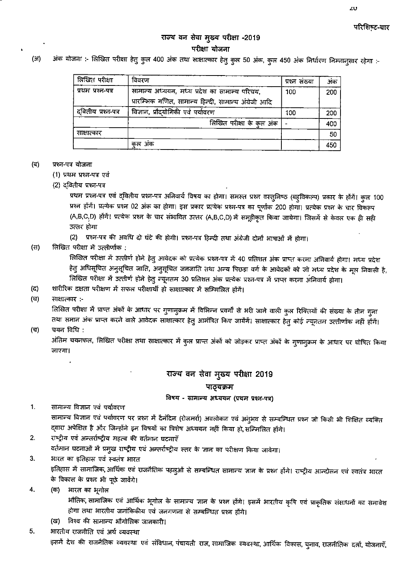# परिशिष्ट-चार

# राज्य वन सेवा मुख्य परीक्षा -2019 परीक्षा योजना

 $(3)$ 

-: अंक योजना :- लिखित परीक्षा हेतु कुल 400 अंक तथा साक्षात्कार हेतु कुल 50 अंक, कुल 450 अंक निर्धारण निम्नानुसार रहेगा

| लिखित परीक्षा      | विवरण                                                                                                  | प्रश्न संख्या | अंक |
|--------------------|--------------------------------------------------------------------------------------------------------|---------------|-----|
| प्रथम प्रश्न-पत्र  | सामान्य अध्ययन, मध्य प्रदेश का सामान्य परिचय,<br>प्रारम्भिक गणित, सामान्य हिन्दी, सामान्य अंग्रेजी आदि | 100           | 200 |
| दवितीय प्रश्न-पत्र | विज्ञान, प्रौद्योगिकी एवं पर्यावरण                                                                     | 100           | 200 |
|                    | लिखित परीक्षा के कुल अंक                                                                               |               | 400 |
| साक्षात्कार        |                                                                                                        |               | 50  |
|                    | कल अक                                                                                                  |               | 450 |

#### (ਕ) प्रश्न-पत्र योजना

- (1) प्रथम प्रश्न-पत्र एवं
- (2) दवितीय प्रश्न-पत्र

प्रथम प्रश्न-पत्र एवं द्वितीय प्रश्न-पत्र अनिवार्य विषय का होगा। समस्त प्रश्न वस्तुनिष्ठ (बहुविकल्प) प्रकार के होंगे। कुल 100 प्रश्न होंगें। प्रत्येक प्रश्न 02 अंक का होगा। इस प्रकार प्रत्येक प्रश्न-पत्र का पूर्णांक 200 होगा। प्रत्येक प्रश्न के चार विकल्प (A,B,C,D) होंगें। प्रत्येक प्रश्न के चार संभावित उत्तर (A,B,C,D) में समूहीकृत किया जायेगा। जिसमें से केवल एक ही सही उत्तर होगा

(2) प्रश्न-पत्र की अवधि दो घंटे की होगी। प्रश्न-पत्र हिन्दी तथा अंग्रेजी दोनों भाषाओं में होगा।

 $(H)$ लिखित परीक्षा में उत्तीर्णांक :

> लिखित परीक्षा में उत्तीर्ण होने हेतु आवेदक को प्रत्येक प्रश्न-पत्र में 40 प्रतिशत अंक प्राप्त करना अनिवार्य होगा। मध्य प्रदेश हेतु अधिसूचित अनुसूचित जाति, अनुसूचित जनजाति तथा अन्य पिछड़ा वर्ग के आवेदकों को जो मध्य प्रदेश के मूल निवासी है, लिखित परीक्षा में उत्तीर्ण होने हेतु न्यूनतम 30 प्रतिशत अंक प्रत्येक प्रश्न-पत्र में प्राप्त करना अनिवार्य होगा।

- शारीरिक दक्षता परीक्षण में सफल परीक्षार्थी हो साक्षात्कार में सम्मिलित होंगे। (द)
- (घ) साक्षात्कार :-

लिखित परीक्षा में प्राप्त अंकों के आधार पर गुणानुक्रम में विभिन्न प्रवर्गों से भरी जाने वाली कुल रिक्तियों की संख्या के तीन गुना तथा समान अंक प्राप्त करने वाले आवेदक साक्षात्कार हेतु आमंत्रित किए जायेंगें। साक्षात्कार हेतु कोई न्यूनतम उत्तीर्णांक नहीं होंगें।

(च) चयन विधि :

> अंतिम चयनफल, लिखित परीक्षा तथा साक्षात्कार में कुल प्राप्त अंकों को जोड़कर प्राप्त अंकों के गुणानुक्रम के आधार पर घोषित किया जाएगा।

# राज्य वन सेवा मुख्य परीक्षा 2019

#### पाठ्यक्रम

#### विषय - सामान्य अध्ययन (प्रथम प्रश्न-पत्र)

 $\mathbf{1}$ . सामान्य विज्ञान एवं पर्यावरण सामान्य विज्ञान एवं पर्यावरण पर प्रश्न में दैनंदिन (रोजमर्रा) अवलोकन एवं अनुभव से सम्बन्धित प्रश्न जो किसी भी शिक्षित व्यक्ति द्वारा अपेक्षित है और जिन्होंने इन विषयों का विशेष अध्ययन नहीं किया हो, सम्मिलित होंगे।

- राष्ट्रीय एवं अन्तर्राष्ट्रीय महत्व की वर्तमान घटनाएँ 2. वर्तमान घटनाओं में प्रमुख राष्ट्रीय एवं अन्तर्राष्ट्रीय स्तर के ज्ञान का परीक्षण किया जावेगा।
- $3.$ भारत का इतिहास एवं स्वतंत्र भारत इतिहास में सामाजिक,आर्थिक एवं राजनैतिक पहलुओं से सम्बन्धित सामान्य ज्ञान के प्रश्न होंगे। राष्ट्रीय आन्दोलन एवं स्वतंत्र भारत के विकास के प्रश्न भी पूछे जावेंगे।

4. (क) भारत का भूगोल

> भौतिक, सामाजिक एवं आर्थिक भूगोल के सामान्य जान के प्रश्न होंगे। इसमें भारतीय कृषि एवं प्राकृतिक संसाधनों का समावेश होगा तथा भारतीय जनांकिकीय एवं जनगणना से सम्बन्धित प्रश्न होंगे।

(ख) - विश्व की सामान्य भौगोलिक जानकारी।

5. भारतीय राजनीति एवं अर्थ व्यवस्था इसमें देश की राजनैतिक व्यवस्था एवं संविधान, पंचायती राज, सामाजिक व्यवस्था, आर्थिक विकास, चुनाव, राजनीतिक दलों, योजनाएँ,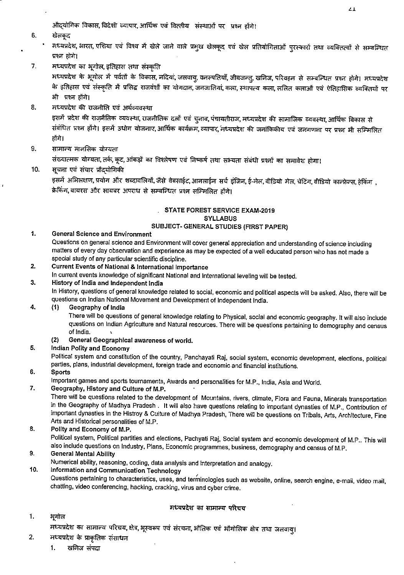औदयोगिक विकास, विदेशी व्यापार, आर्थिक एवं वित्तीय संस्थाओं पर प्रश्न होंगे।

- 6. खेलकृद
	- मध्यप्रदेश, भारत, एशिया एवं विश्व में खेले जाने वाले प्रमुख खेलकूद एवं खेल प्रतियोगिताओं पुरस्कारों तथा व्यक्तित्वों से सम्बन्धित प्रश्न होगे।
- 7. मध्यप्रदेश का भूगोल, इतिहास तथा संस्कृति

मध्यप्रदेश के भूगोल में पर्वतों के विकास, नदियां, जलवायु, वनस्पतियाँ, जीवजन्तु, खनिज, परिवहन से सम्बन्धित प्रश्न होगे। मध्यप्रदेश के इतिहास एवं संस्कृति में प्रसिद्ध राजवंशों का योगदान, जनजातियां, कला, स्थापत्य कला, ललित कलाओं एवं ऐतिहासिक व्यक्तियों पर भी प्रश्न होंगे।

8. मध्यप्रदेश की राजनीति एवं अर्थव्यवस्था

> इसमें प्रदेश की राज़नैतिक व्यवस्था, राजनीतिक दलों एवं चुनाव, पंचायतीराज, मध्यप्रदेश की सामाजिक व्यवस्था, आर्थिक विकास से संबंधित प्रश्न होंगे। इसमें उधोग योजनाए, आर्थिक कार्यक्रम, व्यापार, मध्यप्रदेश की जनांकिकीय एवं जनगणना पर प्रश्न भी सम्मिलित होंगे।

9. सामान्य मानसिक योग्यता

संख्यात्मक योग्यता, तर्क, कूट, आंकड़ों का विश्लेषण एवं निष्कर्ष तथा सभ्यता संबंधी प्रश्नों का समावेश होगा।

 $10.$ सूचना एवं संचार प्रोदयोगिकी

> इसमें अभिलक्षण, प्रयोग और शब्दावलियों, जैसे वेबसाईट, आनलाईन सर्च इंजिन, ई-मेल, वीडियो मेल, चेटिंग, वीडियो कान्फ्रेन्स, हेकिंग), क्रेकिंग, वायरस और सायबर अपराध से सम्बन्धित प्रश्न सम्मिलित होंगे।

# . STATE FOREST SERVICE EXAM-2019 **SYLLABUS**

### SUBJECT- GENERAL STUDIES (FIRST PAPER)

1. **General Science and Environment** 

Questions on general science and Environment will cover general appreciation and understanding of science including matters of every day observation and experience as may be expected of a well educated person who has not made a special study of any particular scientific discipline.

- **Current Events of National & International Importance** 2.
- In current events knowledge of significant National and International leveling will be tested.
- $3.$ History of India and Independent India

In History, questions of general knowledge related to social, economic and political aspects will be asked. Also, there will be questions on Indian National Movement and Development of Independent India.

#### 4. Geography of India  $(1)$

There will be questions of general knowledge relating to Physical, social and economic geography. It will also include questions on Indian Agriculture and Natural resources. There will be questions pertaining to demography and census of India.

- General Geographical awareness of world.  $(2)$
- 5. Indian Polity and Economy

Political system and constitution of the country, Panchayati Raj, social system, economic development, elections, political parties, plans, industrial development, foreign trade and economic and financial institutions.

6. **Sports** 

Important games and sports tournaments, Awards and personalities for M.P., India, Asia and World.

7. Geography, History and Culture of M.P.

There will be questions related to the development of Mountains, rivers, climate, Flora and Fauna, Minerals transportation in the Geography of Madhya Pradesh. It will also have questions relating to important dynasties of M.P., Contribution of important dynasties in the Histroy & Culture of Madhya Pradesh, There will be questions on Tribals, Arts, Architecture, Fine Arts and Historical personalities of M.P.

#### 8. Polity and Economy of M.P. Political system, Political partities and elections, Pachyati Raj, Social system and economic development of M.P.. This will also include questions on Industry, Plans, Economic programmes, business, demography and census of M.P. 9.

**General Mental Ability** 

Numerical ability, reasoning, coding, data analysis and interpretation and analogy.

#### Information and Communication Technology 10.

Questions pertaining to characteristics, uses, and terminologies such as website, online, search engine, e-mail, video mail, chatting, video conferencing, hacking, cracking, virus and cyber crime.

#### मध्यप्रदेश का सामान्य परिचय

 $\mathbf{1}$ . भूगोल

 $2.$ 

- मध्यप्रदेश का सामान्य परिचय, क्षेत्र, भूस्वरूप एवं संरचना, भौतिक एवं भौगोलिक क्षेत्र तथा जलवायु।
	- मध्यप्रदेश के प्राकृतिक संसाधन
		- $1.$ खनिज संपदा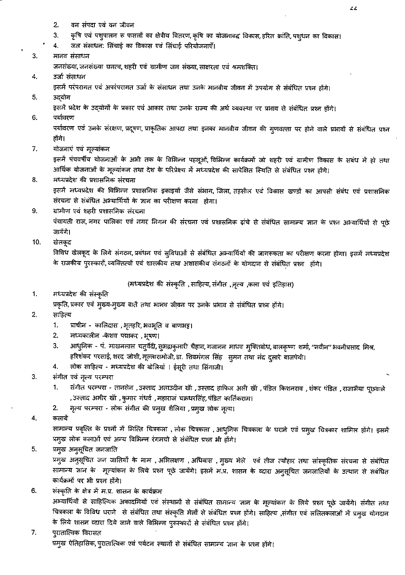- वन संपदा एवं वन जीवन  $2.$
- 3. कृषि एवं पशुपालन रू फसलों का क्षेत्रीय वितरण, कृषि का योजनाबद्ध विकास, हरित क्रांति, पशुधन का विकास।
- जल संसाधन: सिंचाई का विकास एवं सिंचाई परियोजनाएँ। 4.

#### 3. मानव संसाधन जनसंख्या, जनसंख्या घनत्व, शहरी एवं ग्रामीण जन संख्या, साक्षरता एवं श्रमशक्ति।

#### 4. उर्जा संसाधन इसमें परंपरागत एवं अपरंपरागत उर्जा के संसाधन तथा उनके मानवीय जीवन में उपयोग से संबंधित प्रश्न होंगे।

उदयोग 5.

इसमें प्रदेश के उद्योगों के प्रकार एवं आकार तथा उनके राज्य की अर्थ व्यवस्था पर प्रभाव से संबंधित प्रश्न होंगे।

6. पर्यावरण

> पर्यावरण एवं उनके संरक्षण, प्रदूषण, प्राकृतिक आपदा तथा इनका मानवीय जीवन की गुणवत्ता पर होने वाले प्रभावों से संबंधित प्रश्न होंगे।

7. योजनाएं एवं मूल्यांकन

> इसमें पंचवर्षीय योजनाओं के अभी तक के विभिन्न पहलूओं, विभिन्न कार्यक्रमों जो शहरी एवं ग्रामीण विकास के सबंध में हो तथा आर्थिक योजनाओं के मूल्यांकन तथा देश के परिप्रेक्ष्य में मध्यप्रदेश की सापेक्षित स्थिति से संबंधित प्रश्न होंगे।

- 8. मध्यप्रदेश की प्रशासनिक संरचना इसमें मध्यप्रदेश की विभिन्न प्रशासनिक इकाइयों जैसे संभाग, जिला, तहसील एवं विकास खण्डों का आपसी संबंध एवं प्रशासनिक
	- संरचना से संबंधित अभ्यार्थियों के ज्ञान का परीक्षण करना होगा।
- 9. ग्रामीण एवं शहरी प्रशासनिक संरचना पंचायती राज, नगर पालिका एवं नगर निगम की संरचना एवं प्रशासनिक ढ़ांचे से संबंधित सामान्य ज्ञान के प्रश्न अभ्यार्थियों से पूछे जायेंगें।
- 10. खेलकूद

विविध खेलकूद के लिये संगठन, प्रबंधन एवं सुविधाओं से संबंधित अभ्यार्थियों की जागरूकता का परीक्षण करना होगा। इसमें मध्यप्रदेश के राजकीय पुरस्कारों, व्यक्तित्वों एवं शासकीय तथा अशासकीय संगठनों के योगदान से संबंधित प्रश्न होंगे।

(मध्यप्रदेश की संस्कृति , साहित्य, संगीत , नृत्य ,कला एवं इतिहास)

1. मध्यप्रदेश की संस्कृति

प्रकृति, प्रकार एवं मुख्य-मुख्य बातें तथा मानव जीवन पर उनके प्रभाव से संबंधित प्रश्न होंगे।

- $2.$ साहित्य
	- प्राचीन कालिदास , भृतहरि, भवभूति व बाणभट्ट। 1.
	- $2.$ मध्यकालीन -केशव पद्माकर , भूषण।
	- 3. आधुनिक - पं. माखनलाल चतुर्वेदी, सुभद्राकुमारी चैहान, गजानन माधव मुक्तिबोध, बालकृष्ण शर्मा, ''नवीन'' भवनीप्रसाद मिश्र, हरिशंकर परसाई, शरद जोशी, मूल्लारामोजी, डा. शिवमंगल सिंह सुमन तथा नंद दुलारे बाजपेयी।
	- लोक साहित्य मध्यप्रदेश की बोलियां । ईसूरी तथा सिंगाजी। 4.
- $3.$ संगीत एवं नृत्य परम्परा
	- संगीत परम्परा तानसेन ,उस्ताद अलाउदीन खाँ ,उस्ताद हाफिज अली खाँ ,पंडित किशनराव ,शंकर पंडित ,राजाभैया पूछवाले 1. , उस्ताद अमीर खॉ , कुमार गंधर्व , महाराज चक्रधरसिंह, पंडित कार्तिकराम।
	- नृत्य परम्परा लोक संगीत की प्रमुख शैलिया ,प्रमुख लोक नृत्य। 2.
- 4. कलायें

सामान्य प्रवृत्ति के प्रश्नों में भित्ति चित्रकला , लोक चित्रकला , आधुनिक चित्रकला के घराने एवं प्रमुख चित्रकार शामिल होंगे। इसमें प्रमुख लोक कलाओं एवं अन्य विभिन्न रंगमचो से संबंधित प्रश्न भी होंगे।

#### 5. प्रमुख अनूसूचित जनजाति

प्रमुख अनुसूचित जन जातियों के नाम , अभिलक्षण , अधिवास , मुख्य मेले एवं तीज त्यौहार तथा सांस्कृतिक संरचना से संबंधित सामान्य ज्ञान के मूल्यांकन के लिये प्रश्न पूछे जायेंगे। इसमें म.प्र. शासन के व्दारा अनुसूचित जनजातियों के उत्थान से सबंधित कार्यक्रमों पर भी प्रश्न होंगे।

- 6. संस्कृति के क्षेत्र में म.प्र. शासन के कार्यक्रम अभ्यार्थियों से साहित्यिक अकादमियों एवं संस्थानों से संबंधित सामान्य ज्ञान के मूल्यांकन के लिये प्रश्न पूछे जायेंगे। संगीत तथा चित्रकला के विविध घराने) से संबंधित तथा संस्कृति मेलों से संबंधित प्रश्न होंगे। साहित्य ,संगीत एवं ललितकलाओं में प्रमुख योगदान के लिये शासन व्दारा दिये जाने वाले विभिन्न पुरूस्कारों से संबंधित प्रश्न होंगे।
- 7. पुरातात्विक विरासत प्रमुख ऐतिहासिक, पुरातात्विक एवं पर्यटन स्थानों से संबंधित सामान्य ज्ञान के प्रश्न होंगे।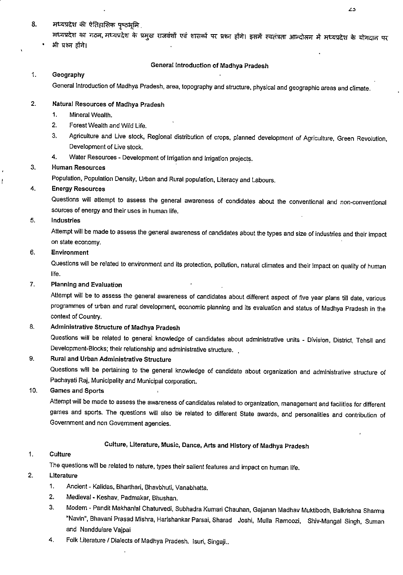# 8. मध्यप्रदेश की ऐतिहासिक पृष्ठभूमि

मध्यप्रदेश का गठन, मध्यप्रदेश के प्रमुख राजवंशों एवं शासकों पर प्रश्न होंगे। इसमें स्वतंत्रता आन्दोलन में मध्यप्रदेश के योगदान पर भी प्रश्न होंगे।

#### General Introduction of Madhya Pradesh

#### 1. Geography

General Introduction of Madhya Pradesh, area, topography and structure, physical and geographic areas and climate.

#### 2. Natural Resources of Madhya Pradesh

- 1. Mineral Wealth.
- 2. Forest Wealth and Wild Life.
- 3. Agriculture and Live stock, Regional distribution of crops, planned development of Agriculture, Green Revolution, Development of Live stock.
- 4. Water Resources Development of Irrigation and irrigation projects.

#### 3. Human Resources

Population, Population Density, Urban and Rural population. Literacy and Labours.

#### 4. Energy Resources

Questions will attempt to assess the general awareness of condidates about the conventional and non-conventional sources of energy and their uses in human life.

#### 5. Industries

Attempt will be made to assess the general awareness of candidates about the types and size of industries and their impact on state economy.

### 6. Environment

Questions will be related to environment and its protection, pollution, natural climates and their impact on quality of human life.

#### 7. Planning and Evaluation

Attempt will be to assess the general awareness of candidates about different aspect of five year plans till date, various programmes of urban and rural development, economic planning and its evaluation and status of Madhya Pradesh in the context of Country.

### 8. Administrative Structure of Madhya Pradesh

Questions will be related to general knowledge of candidates about administrative units - Division, District, Tehsil and Development-Blocks; their relationship and administrative structure.

### 9. Rural and Urban Administrative Structure

Questions will be pertaining to the general knowledge of candidate about organization and administrative structure of Pachayati Raj, Municipality and Municipal corporation.

### 10. Games and Sports

Attempt will be made to assess the awareness of candidates related to organization, management and facilities for different games and sports. The questions will also be related to different State awards, and personalities and contribution of Government and non Government agencies.

### Culture, Literature, Music, Dance, Arts and History of Madhya Pradesh

#### 1. Culture

The questions will be related to nature, types their salient features and impact on human life.

### 2. Literature

- 1. Ancient Kalidas, Bharthari, Bhavbhuti, Vanabhatta.
- 2. Medieval Keshav, Padmakar, Bhushan.
- 3. Modern Pandit Makhanlal Chatun/edi, Subhadra Kumari Chauhan, Gajanan Madhav Muktibodh, Balkrishna Sharma "Navin", Bhavani Prasad Mishra, Harishankar Parsai, Sharad Joshi, Mulla Ramoozi, Shiv-Mangal Singh, Suman and Nanddulare Vajpai
- 4. Folk Literature / Dialects of Madhya Pradesh. Isuri, Singajl..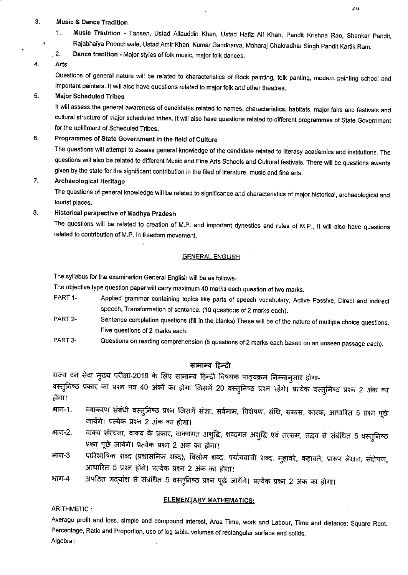#### 3. Music & Dance Tradition

- 1. Music Tradition Tansen, Ustad Allauddin Khan, Ustad Hafiz Ali Khan. Pandit Krishna Rao, Shankar Pandit. Rajabhaiya Poonchwale, Ustad Amir Khan. Kumar Gandharva, Mahara] Chakradhar Singh Pandit Kartik Ram.
- . 2. Dance tradition Major styles of folk music, major folk dances.

#### 4. Arts

Questions of general nature will be related to characteristics of Rock painting, folk panting, modern painting school and important painters. It will also have questions related to major folk and other theatres.

#### 5. Major Scheduled Tribes

It will assess the general awareness of candidates related to names, characteristics, habitats, major fairs and festivals and cultural structure of major scheduled tribes. It will also have questions related to different programmes of State Government for the upliftment of Scheduled Tribes.

### 6. Programmes of State Government In the field of Culture

The questions will attempt to assess general knowledge of the candidate related to literasy academics and institutions. The questions will also be related to different Music and Fine Arts Schools and Cultural festivals. There will be questions awards given by the state for the significant contribution in the filed of literature, music and fine arts.

#### 7. Archaeological Heritage

The questions of general knowledge will be related to significance and characteristics of major historical, archaeological and tourist places.

#### 8. Historical perspective of Madhya Pradesh

The questions will be related to creation of M.P. and important dynesties and rules of M.P., It will also have questions related to contribution of M.P. in freedom movement.

#### **GENERAL ENGLISH**

The syllabus for the examination General English will be as follows-

The objective type question paper will carry maximum 40 marks each question of two marks.

- PART1- Applied grammar containing topics like parts of speech vocabulary. Active Passive, Direct and indirect speech. Transformation of sentence. (10 questions of 2 marks each).
- PART 2- Sentence completion questions (fill in the blanks) These will be of the nature of multiple choice questions. Five questions of 2 marks each.
- PART 3- Questions on reading comprehension (5 questions of 2 marks each based on an unseen passage each).

सामान्य हिन्दी<br>राज्य वन सेवा मुख्य परीक्षा-2019 के लिए सामान्य हिन्दी विषयक पाठ्यक्रम निम्नानुसार होगा-

वस्तुनिष्ठ प्रकार का प्रश्न पत्र 40 अंकों का होगा जिसमें 20 वस्तुनिष्ठ प्रश्न रहेंगे। प्रत्येक वस्तुनिष्ठ प्रश्न 2 अंक का होगा।

- आग-1. व्याकरण संबंधी वस्तुनिष्ठ प्रश्न जिसमें संज्ञा, सर्वनाम, विशेषण, संधि, समास, कारक, आधारित 5 प्रश्न पूछे जायेंगे। प्रत्येक प्रश्न 2 अंक का होगा।<br>भाग-2. वाक्य संरचना, वाक्य के प्रकार, वाक्यगत अशुद्धि, शब्दगत अशुद्धि एवं तत्सम, तद्भव से संबंधित 5
- वाक्य संरचना, वाक्य के प्रकार, वाक्यगत अशुद्धि<br>प्रश्न पूछे जायेंगे। प्रत्येक प्रश्न 2 अंक का होगा।
- 378न पूछे जायेंगे। प्रत्येक प्रश्न 2 अंक का होगा।<br>3 पारिभाषिक शब्द (प्रशासनिक शब्द), विलोम शब्द, पर्यायवाची शब्द, मुहावरे, कहावतें, प्रारूप लेखन, संक्षेपण आधारित 5 प्रश्न होंगे। प्रत्येक प्रश्न 2 अंक का होगा।
- आग-4 अपठित गद्यांश से संबंधित 5 वस्तुनिष्ठ प्रश्न पूछे जायेंगे। प्रत्येक प्रश्न 2 अंक का होगा।

#### ELEMENTARY MATHEMATICS:

ARITHMETIC :

Average profit and loss, simple and compound interest. Area Time, work and Labour, Time and distance; Square Root. Percentage, Ratio and Proportion, use of log table, volumes of rectangular surface and solids. Algebra: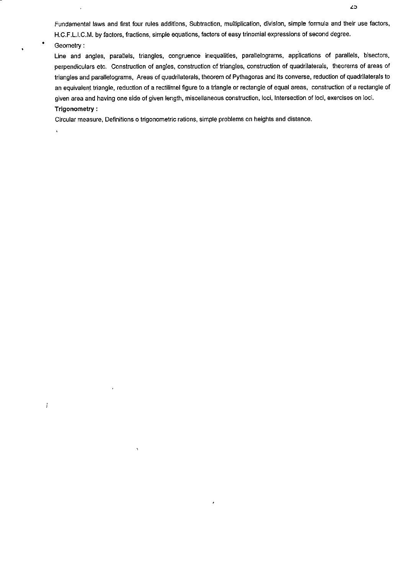Fundamental laws and first four rules additions, Subtraction, multiplication, division, simple formula and their use factors, H.C.F.L.I.C.M. by factors, fractions, simple equations, factors of easy trinomial expressions of second degree. Geometry:

Line and angles, parallels, triangles, congruence inequalities, parallelograms, applications of parallels, bisectors, perpendiculars etc. Construction of angles, construction of triangles, construction of quadrilaterals, theorems of areas of triangles and parallelograms. Areas of quadrilaterals, theorem of Pythagoras and its converse, reduction of quadrilaterals to an equivalent triangle, reduction of a rectilimel figure to a triangle or rectangle of equal areas, construction of a rectangle of given area and having one side of given length, miscellaneous construction, loci, Intersection of loci, exercises on loci. Trigonometry:

Circular measure. Definitions o trigonometric rations, simple problems on heights and distance.

 $\hat{\mathbf{r}}$ 

 $\boldsymbol{j}$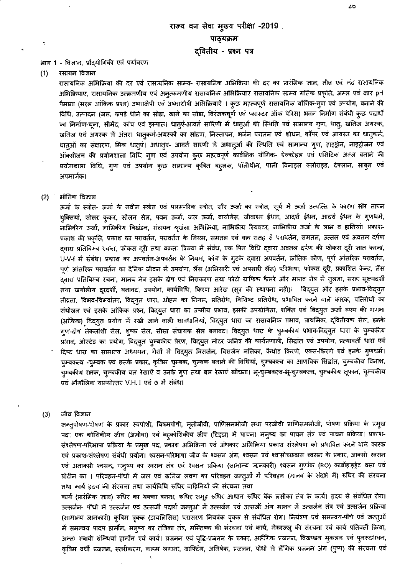#### भाग 1 - विज्ञान, प्रौद्योगिकी एवं पर्यावरण

रसायन विज्ञान  $(1)$ 

> रासायनिक अभिक्रिया की दर एवं रासायनिक साम्य- रासायनिक अभिक्रिया की दर का प्रारंभिक ज्ञान, तीव्र एवं मंद रासायनिक अभिक्रियाए, रासायनिक उत्क्रमणीय एवं अनुत्कमणीय रासायनिक अभिक्रियाए रासायनिक साम्य गतिक प्रकृति, अम्ल एवं क्षार pH पैमाना (सरल आंकिक प्रश्न) उष्माक्षेपी एवं उष्माशोषी अभिक्रियाएँ । कुछ महत्वपूर्ण रासायनिक यौगिक-गुण एवं उपयोग, बनाने की विधि, उत्पादन (जल, कपडे धोने का सोडा, खाने का सोडा, विरंजकचूर्ण एवं प्लास्टर ऑफ पेरिस) भवन निर्माण संबंधी कुछ पदार्थो का निर्माण-चूना, सीमेंट, कांच एवं इस्पात। धातुएं-आवर्त सारिणी में धातुओं की स्थिति एवं सामान्य गुण, धातु, खनिज अयस्क, खनिज एवं अयस्क में अंतर। धातुकर्म-अयस्कों का सांद्रण, निस्तापन, भर्जन प्रगलन एवं शोधन, कॉपर एवं आयरन का धातुकर्म, धातुओं का संक्षारण, मिश्र धातुएं। अधातुए- आवर्त सारणी में अधातुओं की स्थिति एवं सामान्य गुण, हाइड्रोन, नाइट्रोजन एवं ऑक्सीजन की प्रयोगशाला विधि गुण एवं उपयोग कुछ महत्वपूर्ण कार्बनिक यौगिक- ऐल्कोहल एवं एसिटिक अम्ल बनाने की प्रयोगशाला विधि, गुण एवं उपयोग कुछ सामान्य कृत्रित बहुलक, पॉलीथीन, पाली विनाइल क्लोराइड, टेफ्लान, साबुन एवं अपमार्जक।

द्वितीय - प्रश्न पत्र

#### औतिक विज्ञान  $(2)$

ऊर्जा के स्त्रोत- ऊर्जा के नवीन स्त्रोत एवं पारम्परिक स्त्रोत, सौर ऊर्जा का स्त्रोत, सूर्य में ऊर्जा उत्पत्ति के कारण सौर तापन युक्तियां, सोलर कुकर, सोलन सेल, पवन ऊर्जा, जल ऊर्जा, बायोगेस, जीवाश्म ईधन, आदर्श ईधन, आदर्श ईधन के गुणधर्म, नाभिकीय ऊर्जा, नाभिकीय विखंडन, संतयन श्रृखंला अभिक्रिया, नाभिकीय रियक्टर, नाभिकीय ऊर्जा के लाभ व हानियां। प्रकाश-प्रकाश की प्रकृति, प्रकाश का परावर्तन, परावर्तन के नियम, समतल एवं वक्र सतह से परावर्तन, समतल, उत्तल एवं अवतल दर्पण द्वारा प्रतिबिम्ब रचना, फोकस दूरी तथा वक्रता त्रिज्या में संबंध, एक पिन विधि द्वारा अवतल दर्पण की फोकस दूरी जात करना, U-V-f में संबंध। प्रकाश का अपवर्तन-अपवर्तन के नियम, कांच के गुटके द्वारा अपवर्तन, क्रांतिक कोण, पूर्ण आंतरिक परावर्तन, पूर्ण आंतरिक परावर्तन का दैनिक जीवन में उपयोग, लैंस (अभिसारी एवं अपसारी लैंस) परिभाषा, फोकस दूरी, प्रकाशित केन्द्र, लैंस द्वारा प्रतिबिम्ब रचना, मानव नेत्र इसके दोष एवं निराकरण तथा फोटो ग्राफिक कैमरे और मानव नेत्र में तुलना, सरल सूक्ष्मदर्शी तथा खगोलीय दूरदर्शी, बनावट, उपयोग, कार्यविधि, किरण आरेख (सूत्र की स्थापना नही)। विद्युत और इसके प्रभाव-विद्युत तीव्रता, विभव-विभवांतर, विद्युत धारा, ओहम का नियम, प्रतिरोध, विशिष्ट प्रतिरोध, प्रभावित करने वाले कारक, प्रतिरोधों का संयोजन एवं इसके आंकिक प्रश्न, विद्युत धारा का उष्मीय प्रभाव, इसकी उपयोगिता, शक्ति एवं विद्युत ऊर्जा व्यय की गणना (आंकिक) विद्युत प्रयोग में रखी जाने वाली सावधानियां, विद्युत धारा का रासायनिक प्रभाव, प्राथमिक, द्वितीयक सेल, इनके गुण-दोष लेकलांशी सेल, शुष्क सेल, सीसा संचायक सेल बनावट। विद्युत धारा के चुम्बकीय प्रभाव-विद्युत धारा के चुम्बकीय प्रभाव, ओस्टेड का प्रयोग, विद्युत चुम्बकीय प्रेरण, विद्युत मोटर जनित्र की कार्यप्रणाली, सिद्धांत एवं उपयोग, प्रत्यावर्ती धारा एवं दिष्ट धारा का सामान्य अध्ययन। गैसों में विद्युत विसर्जन, विसर्जन नलिका, कैथोड किरणे, एक्स-किरणे एवं इनके गुणधर्म। चुम्बकत्व -चुम्बक एवं इसके प्रकार, कृत्रिम चुम्बक, चुम्बक बनाने की विधियां, चुम्बकत्व का आणविक सिद्धांत, चुम्बकीय विनाश, च्म्बकीय रक्षक, चुम्बकीय बल रेखाएँ व उनके गुण तथा बल रेखाएं खींचना। भू-चुम्बकत्व-भू-चुम्बकत्व, चुम्बकीय तूफान, चुम्बकीय एवं ओंगोलिक याम्योत्तर V.H. I एवं Ø में संबंध।

 $(3)$ जीव विज्ञान

> जन्तुपोषण-पोषण के प्रकार स्वपोशी, विषमपोषी, मृतोजीवी, प्राणिसमभोजी तथा परजीवी प्राणिसमभोजी, पोषण प्रक्रिया के प्रमुख पद। एक कोशिकीय जीव (अमीबा) एवं बहुकोशिकीय जीव (टिइडा) में पाचन। मनुष्य का पाचन तंत्र एवं पाचन प्रक्रिया। प्रकाश-संश्लेषण-परिभाषा प्रक्रिया के प्रमुख पद, प्रकाश अभिक्रिया एवं अंधकार अभिक्रिया प्रकाश संश्लेषण को प्रभावित करने वाले कारक एवं प्रकाश-संश्लेषण संबंधी प्रयोग। श्वसन-परिभाषा जीव के श्वसन अंग, श्वसन एवं श्वासोच्छवास श्वसन के प्रकार, आक्सी श्वसन एवं अनाक्सी श्वसन, मनुष्य का श्वसन तंत्र एवं श्वसन प्रकिया (सामान्य जानकारी) श्वसन गुणांक (RO) कार्बोहाइड्रेट वसा एवं प्रोटीन का । परिवहन-पौधों में जल एवं खनिज लवण का परिवहन जन्तुओं में परिवहन (मानव के संदर्भ में) रूधिर की संरचना तथा कार्य हृदय की सरचना तथा कार्यविधि रूधिर वाहिनियों की संरचना तथा

> कार्य (प्रारंभिक ज्ञान) रूधिर का थक्का बनना, रूधिर समूह रूधिर आधान रूधिर बैंक लसीका तंत्र के कार्य। हृदय से संबंधित रोग। उत्सर्जन- पौधों में उत्सर्जन एवं उत्सर्जी पदार्थ जन्तुओं में उत्सर्जन एवं उत्सर्जी अंग मानव में उत्सर्जन तंत्र एवं उत्सर्जन प्रक्रिया (सामान्य जानकारी) कृत्रिम वृक्क (डायलिसिस) परासरण नियत्रक वृक्क से संबंधित रोग। नियंत्रण एवं समन्वय-पौधे एवं जन्तुओं में समन्वय पादप हार्मोन, मनुष्य का तंत्रिका तंत्र, मस्तिष्क की संरचना एवं कार्य, मेरूरज्जू की संरचना एवं कार्य प्रतिवर्ती क्रिया, अन्तः स्त्रावी ग्रन्थियां हार्मोन एवं कार्य। प्रजनन एवं वृद्धि-प्रजनन के प्रकार, अलैंगिक प्रजनन, विखण्डन मुकलन एवं पुनरूदभवन, कृत्रिम वधी प्रजनन, स्तरीकरण, कलम लगाना, ग्राफ्टिंग, अनिषेक, प्रजनन, पौधों में लैंगिक प्रजनन अंग (पुष्प) की सरचना एवं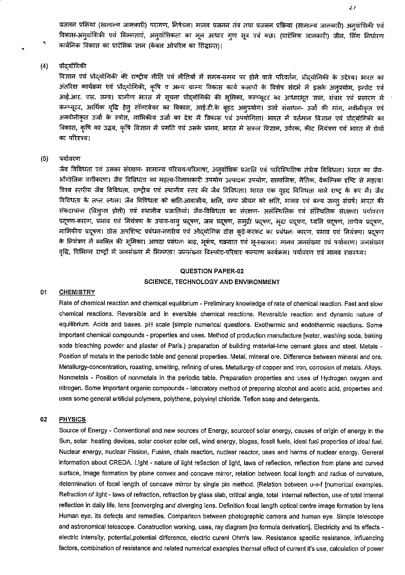प्रजनन प्रक्रिया (सामान्य जानकारी) परागण, निषेचन। मानव प्रजनन तंत्र तथा प्रजनन प्रक्रिया (सामान्य जानकारी) अनुवांशिकी एवं विकास-अन्वांशिकी एवं भिन्नताएं, अन्वांशिकता का मूल आधार गुण सूत्र एवं क्छ। (प्रारंभिक जानकारी) जीन, लिंग निर्धारण कार्बनिक विकास का प्रारंभिक ज्ञान (केबल ओपरिन का सिद्धान्त)।

#### $(4)$ प्रौद्यौगिकी

٠

विज्ञान एवं प्रौद्योगिकी की राष्ट्रीय नीति एवं नीतियों में समय-समय पर होने वाले परिवर्तन, प्रौद्योगिकी के उद्देश्य। भारत का अंतरिक्ष कार्यक्रम एवं प्रौद्योगिकी, कृषि व अन्य ग्राम्य विकास कार्य कलापों के विशेष संदर्भ में इसके अनुप्रयोग, इन्सेट एवं आई.आर. एस. तन्त्र। ग्रामीण भारत में सूचना प्रौद्योगिकी की भूमिका, कम्प्यूटर का आधारभूत ज्ञान, संचार एवं प्रसारण में कम्प्यूटर, आर्थिक वृद्धि हेतू सॉफ्टवेयर का विकास, आई.टी.के वृहद अनुप्रयोग। उर्जा संसाधन- उर्जा की मांग, नवीनीकत एवं अनवीनीकृत उर्जा के स्त्रोत, नाभिकीय उर्जा का देश में विकास एवं उपयोगिता। भारत में वर्तमान विज्ञान एवं प्रौदयोगिकी का विकास, कृषि का उद्भव, कृषि विज्ञान में प्रगति एवं उसके प्रभाव, भारत में सफल विज्ञान, उर्वरक, कीट नियंत्रण एवं भारत में रोगों का परिदृश्य!

#### पर्यावरण  $(5)$

जैव विविधता एवं उसका संरक्षण- सामान्य परिचय-परिभाषा, अनुवांशिक प्रजाति एवं पारिस्थितिक तंत्रीय विविधता। भारत का जैव-भौगोलिक वर्गीकरण। जैव विविधता का महत्व-विनाशकारी उपयोग उत्पादक उपयोग, सामाजिक, नैतिक, वैकल्पिक दृष्टि से महत्व। विश्व स्तरीय जैव विविधता, राष्ट्रीय एवं स्थानीय स्तर की जैव विविधता। भारत एक वृहद विविधता वाले राष्ट्र के रूप में। जैव विविधता के तप्त स्थल। जैव विविधता को क्षति-आवासीय, क्षति, वन्य जीवन को क्षति, मानव एवं वन्य जन्तु संघर्ष। भारत की संकटापन्न (विलुप्त होती) एवं स्थानीय प्रजातियां। जैव-विविधता का संरक्षण- असंस्थितिक एवं संस्थितिक संरक्षण। पर्यावरण प्रदूषण-कारण, प्रभाव एवं नियंत्रण के उपाय-वायु प्रदूषण, जल प्रदूषण, समुद्री प्रदूषण, मृदा प्रदूषण, ध्वनि प्रदूषण, तापीय प्रदूषण, नाभिकीय प्रदूषण। ठोस अपशिष्ट प्रबंधन-नगरीय एवं औदयोगिक ठोस कुड़े-करकट का प्रबंधनः कारण, प्रभाव एवं नियंत्रण। प्रदूषण के नियंत्रण में व्यक्ति की भूमिका। आपदा प्रबंधनः बाढ़, भूकंप, चक्रवात एवं भू-स्खलन। मानव जनसंख्या एवं पर्यावरण। जनसंख्या वृद्धि, विभिन्न राष्ट्रों में जनसंख्या में भिन्नता। जनसंख्या विस्फोट-परिवार कल्याण कार्यक्रम। पर्यावरण एवं मानव स्वास्थ्य।

### QUESTION PAPER-02 SCIENCE, TECHNOLOGY AND ENVIRONMENT

#### $01$ **CHEMISTRY**

Rate of chemical reaction and chemical equilibrium - Preliminary knowledge of rate of chemical reaction. Fast and slow chemical reactions. Reversible and in eversible chemical reactions. Reversible reaction and dynamic nature of equilibrium. Acids and bases. pH scale [simple numerical questions. Exothermic and endothermic reactions. Some important chemical compounds - properties and uses. Method of production manufacture [water, washing soda, baking soda bleaching powder and plaster of Paris.) preparation of building material-lime cement glass and steel. Metals -Position of metals in the periodic table and general properties. Metal, mineral ore, Difference between mineral and ore, Metallurgy-concentration, roasting, smelting, refining of ores. Metallurgy of copper and Iron, corrosion of metals. Alloys. Nonmetals - Position of nonmetals in the periodic table. Preparation properties and uses of Hydrogen oxygen and nitrogen. Some important organic compounds - laboratory method of preparing alcohol and acetic acid, properties and uses some general artificial polymers, polythene, polyvinyl chloride. Teflon soap and detergents.

#### 02 **PHYSICS**

Source of Energy - Conventional and new sources of Energy, sourceof solar energy, causes of origin of energy in the Sun, solar heating devices, solar cooker solar cell, wind energy, biogas, fossil fuels, ideal fuel properties of ideal fuel. Nuclear energy, nuclear Fission, Fusion, chain reaction, nuclear reactor, uses and harms of nuclear energy. General information about CREDA. Light - nature of light reflection of light, laws of reflection, reflection from plane and curved surface, image formation by plane convex and concave mirror, relation between focal length and radius of curvature, determination of focal length of concave mirror by single pin method. [Relation between u-v-f [numerical examples. Refraction of light - laws of refraction, refraction by glass slab, critical angle, total internal reflection, use of total internal reflection in daily life. Iens [converging and diverging lens. Definition focal length optical centre image formation by lens Human eye. its defects and remedies. Comparison between photographic camera and human eye. Simple telescope and astronomical telescope. Construction working, uses, ray diagram [no formula derivation]. Electricity and its effects electric intensity, potential, potential difference, electric curent Ohm's law. Resistance specific resistance, influencing factors, combination of resistance and related numerical examples thermal effect of current it's use, calculation of power